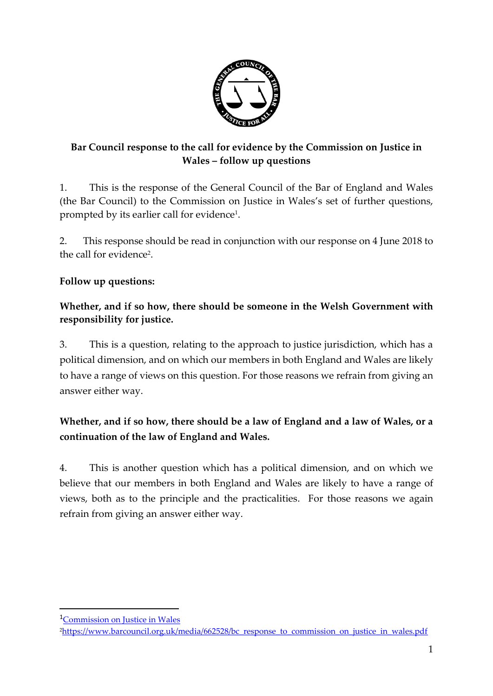

### **Bar Council response to the call for evidence by the Commission on Justice in Wales – follow up questions**

1. This is the response of the General Council of the Bar of England and Wales (the Bar Council) to the Commission on Justice in Wales's set of further questions, prompted by its earlier call for evidence $^{\scriptscriptstyle 1}$ .

2. This response should be read in conjunction with our response on 4 June 2018 to the call for evidence<sup>2</sup>.

### **Follow up questions:**

#### **Whether, and if so how, there should be someone in the Welsh Government with responsibility for justice.**

3. This is a question, relating to the approach to justice jurisdiction, which has a political dimension, and on which our members in both England and Wales are likely to have a range of views on this question. For those reasons we refrain from giving an answer either way.

# **Whether, and if so how, there should be a law of England and a law of Wales, or a continuation of the law of England and Wales.**

4. This is another question which has a political dimension, and on which we believe that our members in both England and Wales are likely to have a range of views, both as to the principle and the practicalities. For those reasons we again refrain from giving an answer either way.

 $\overline{a}$ 

<sup>1</sup>[Commission on Justice in Wales](https://beta.gov.wales/commission-justice-wales)

<sup>&</sup>lt;sup>2</sup>[https://www.barcouncil.org.uk/media/662528/bc\\_response\\_to\\_commission\\_on\\_justice\\_in\\_wales.pdf](https://www.barcouncil.org.uk/media/662528/bc_response_to_commission_on_justice_in_wales.pdf)